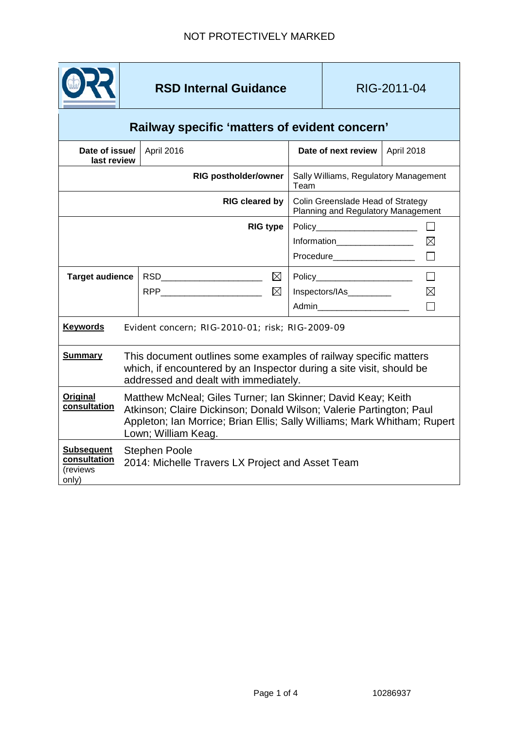

## **RSD Internal Guidance RIG-2011-04**

## **Railway specific 'matters of evident concern'**

| Date of issue/<br>last review                          |                                                                                                                                                                                                                                        | April 2016                                                                        | Date of next review                                                                               | April 2018  |
|--------------------------------------------------------|----------------------------------------------------------------------------------------------------------------------------------------------------------------------------------------------------------------------------------------|-----------------------------------------------------------------------------------|---------------------------------------------------------------------------------------------------|-------------|
|                                                        |                                                                                                                                                                                                                                        | <b>RIG postholder/owner</b>                                                       | Sally Williams, Regulatory Management<br>Team                                                     |             |
| <b>RIG cleared by</b>                                  |                                                                                                                                                                                                                                        |                                                                                   | Colin Greenslade Head of Strategy<br>Planning and Regulatory Management                           |             |
|                                                        |                                                                                                                                                                                                                                        | <b>RIG type</b>                                                                   | Policy_________________________<br>Information__________________<br><b>Procedure Example 2019</b> | $\boxtimes$ |
| <b>Target audience</b>                                 |                                                                                                                                                                                                                                        | ⊠<br>RSD__________________________<br>$\boxtimes$<br>RPP_________________________ | Policy<br>Inspectors/IAs<br>Admin_______________________                                          | $\boxtimes$ |
| <b>Keywords</b>                                        |                                                                                                                                                                                                                                        | Evident concern; RIG-2010-01; risk; RIG-2009-09                                   |                                                                                                   |             |
| <b>Summary</b>                                         | This document outlines some examples of railway specific matters<br>which, if encountered by an Inspector during a site visit, should be<br>addressed and dealt with immediately.                                                      |                                                                                   |                                                                                                   |             |
| Original<br>consultation                               | Matthew McNeal; Giles Turner; Ian Skinner; David Keay; Keith<br>Atkinson; Claire Dickinson; Donald Wilson; Valerie Partington; Paul<br>Appleton; Ian Morrice; Brian Ellis; Sally Williams; Mark Whitham; Rupert<br>Lown; William Keag. |                                                                                   |                                                                                                   |             |
| <b>Subsequent</b><br>consultation<br>(reviews<br>only) | <b>Stephen Poole</b><br>2014: Michelle Travers LX Project and Asset Team                                                                                                                                                               |                                                                                   |                                                                                                   |             |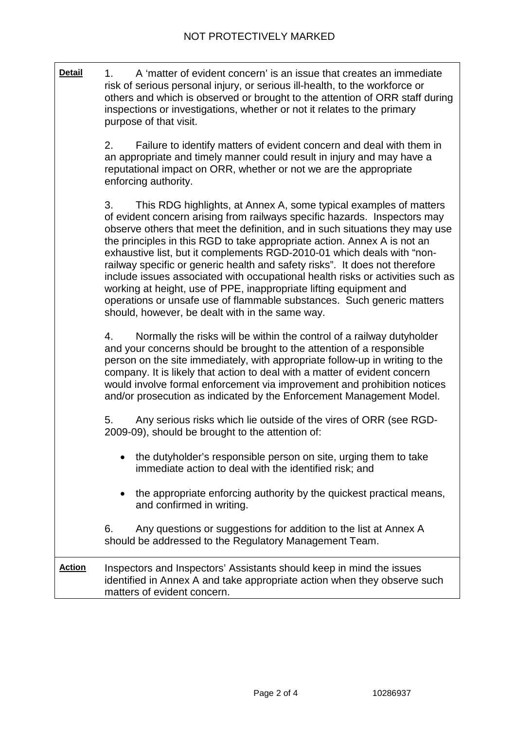| <b>Detail</b> | A 'matter of evident concern' is an issue that creates an immediate<br>1.<br>risk of serious personal injury, or serious ill-health, to the workforce or<br>others and which is observed or brought to the attention of ORR staff during<br>inspections or investigations, whether or not it relates to the primary<br>purpose of that visit.                                                                                                                                                                                                                                                                                                                                                                                                                  |  |  |  |  |
|---------------|----------------------------------------------------------------------------------------------------------------------------------------------------------------------------------------------------------------------------------------------------------------------------------------------------------------------------------------------------------------------------------------------------------------------------------------------------------------------------------------------------------------------------------------------------------------------------------------------------------------------------------------------------------------------------------------------------------------------------------------------------------------|--|--|--|--|
|               | 2.<br>Failure to identify matters of evident concern and deal with them in<br>an appropriate and timely manner could result in injury and may have a<br>reputational impact on ORR, whether or not we are the appropriate<br>enforcing authority.                                                                                                                                                                                                                                                                                                                                                                                                                                                                                                              |  |  |  |  |
|               | 3.<br>This RDG highlights, at Annex A, some typical examples of matters<br>of evident concern arising from railways specific hazards. Inspectors may<br>observe others that meet the definition, and in such situations they may use<br>the principles in this RGD to take appropriate action. Annex A is not an<br>exhaustive list, but it complements RGD-2010-01 which deals with "non-<br>railway specific or generic health and safety risks". It does not therefore<br>include issues associated with occupational health risks or activities such as<br>working at height, use of PPE, inappropriate lifting equipment and<br>operations or unsafe use of flammable substances. Such generic matters<br>should, however, be dealt with in the same way. |  |  |  |  |
|               | Normally the risks will be within the control of a railway dutyholder<br>4.<br>and your concerns should be brought to the attention of a responsible<br>person on the site immediately, with appropriate follow-up in writing to the<br>company. It is likely that action to deal with a matter of evident concern<br>would involve formal enforcement via improvement and prohibition notices<br>and/or prosecution as indicated by the Enforcement Management Model.                                                                                                                                                                                                                                                                                         |  |  |  |  |
|               | Any serious risks which lie outside of the vires of ORR (see RGD-<br>5.<br>2009-09), should be brought to the attention of:                                                                                                                                                                                                                                                                                                                                                                                                                                                                                                                                                                                                                                    |  |  |  |  |
|               | the dutyholder's responsible person on site, urging them to take<br>immediate action to deal with the identified risk; and                                                                                                                                                                                                                                                                                                                                                                                                                                                                                                                                                                                                                                     |  |  |  |  |
|               | the appropriate enforcing authority by the quickest practical means,<br>and confirmed in writing.                                                                                                                                                                                                                                                                                                                                                                                                                                                                                                                                                                                                                                                              |  |  |  |  |
|               | Any questions or suggestions for addition to the list at Annex A<br>6.<br>should be addressed to the Regulatory Management Team.                                                                                                                                                                                                                                                                                                                                                                                                                                                                                                                                                                                                                               |  |  |  |  |
| <u>Action</u> | Inspectors and Inspectors' Assistants should keep in mind the issues<br>identified in Annex A and take appropriate action when they observe such<br>matters of evident concern.                                                                                                                                                                                                                                                                                                                                                                                                                                                                                                                                                                                |  |  |  |  |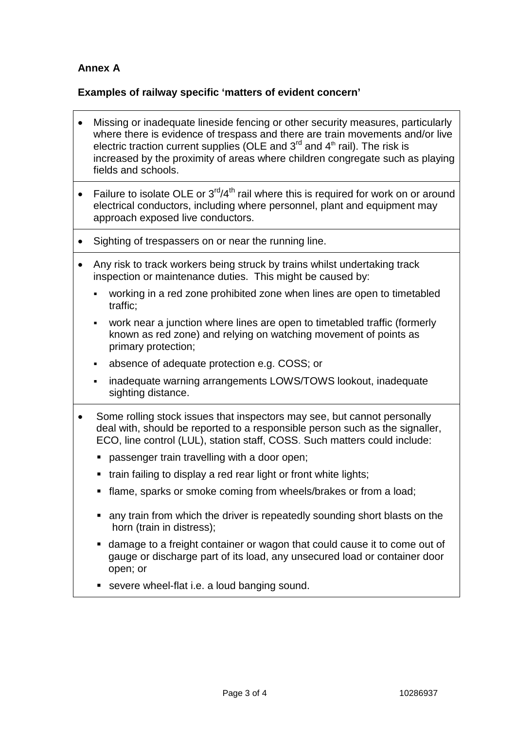## **Annex A**

## **Examples of railway specific 'matters of evident concern'**

- Missing or inadequate lineside fencing or other security measures, particularly where there is evidence of trespass and there are train movements and/or live electric traction current supplies (OLE and  $3<sup>rd</sup>$  and  $4<sup>th</sup>$  rail). The risk is increased by the proximity of areas where children congregate such as playing fields and schools.
- Failure to isolate OLE or  $3<sup>rd</sup>/4<sup>th</sup>$  rail where this is required for work on or around electrical conductors, including where personnel, plant and equipment may approach exposed live conductors.
- Sighting of trespassers on or near the running line.
- Any risk to track workers being struck by trains whilst undertaking track inspection or maintenance duties. This might be caused by:
	- working in a red zone prohibited zone when lines are open to timetabled traffic;
	- work near a junction where lines are open to timetabled traffic (formerly known as red zone) and relying on watching movement of points as primary protection;
	- absence of adequate protection e.g. COSS; or
	- inadequate warning arrangements LOWS/TOWS lookout, inadequate sighting distance.
- Some rolling stock issues that inspectors may see, but cannot personally deal with, should be reported to a responsible person such as the signaller, ECO, line control (LUL), station staff, COSS. Such matters could include:
	- **passenger train travelling with a door open;**
	- **train failing to display a red rear light or front white lights;**
	- **flame, sparks or smoke coming from wheels/brakes or from a load;**
	- any train from which the driver is repeatedly sounding short blasts on the horn (train in distress);
	- damage to a freight container or wagon that could cause it to come out of gauge or discharge part of its load, any unsecured load or container door open; or
	- severe wheel-flat i.e. a loud banging sound.